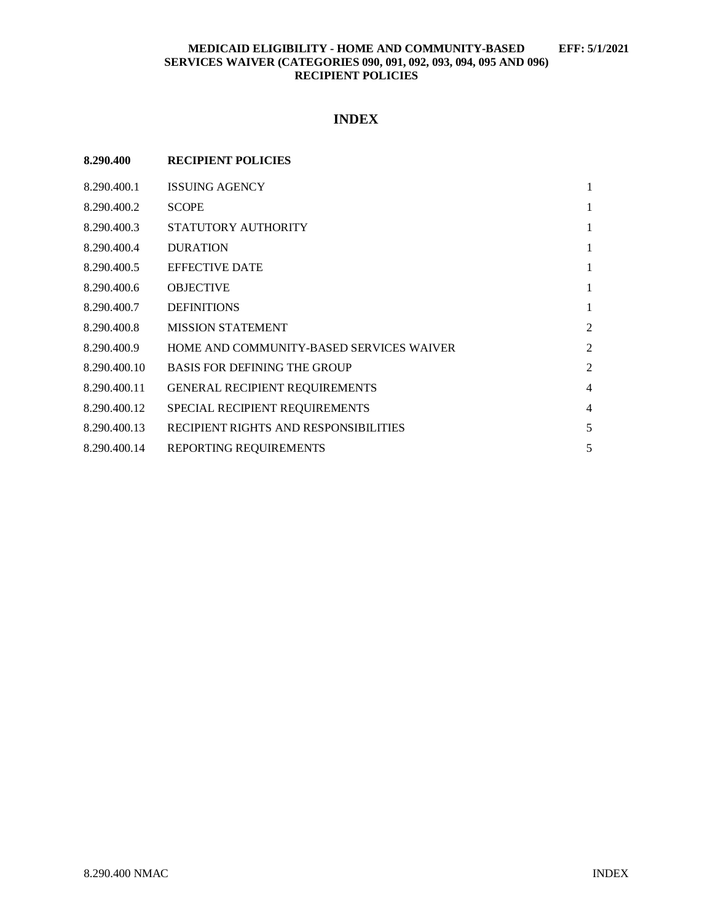# **INDEX**

| 8.290.400    | <b>RECIPIENT POLICIES</b>                |                |
|--------------|------------------------------------------|----------------|
| 8.290.400.1  | <b>ISSUING AGENCY</b>                    | 1              |
| 8.290.400.2  | <b>SCOPE</b>                             | 1              |
| 8.290.400.3  | STATUTORY AUTHORITY                      | 1              |
| 8.290.400.4  | <b>DURATION</b>                          | 1              |
| 8.290.400.5  | <b>EFFECTIVE DATE</b>                    | 1              |
| 8.290.400.6  | <b>OBJECTIVE</b>                         | 1              |
| 8.290.400.7  | <b>DEFINITIONS</b>                       | 1              |
| 8.290.400.8  | <b>MISSION STATEMENT</b>                 | $\overline{c}$ |
| 8.290.400.9  | HOME AND COMMUNITY-BASED SERVICES WAIVER | $\overline{c}$ |
| 8.290.400.10 | <b>BASIS FOR DEFINING THE GROUP</b>      | $\overline{2}$ |
| 8.290.400.11 | <b>GENERAL RECIPIENT REQUIREMENTS</b>    | $\overline{4}$ |
| 8.290.400.12 | SPECIAL RECIPIENT REQUIREMENTS           | $\overline{4}$ |
| 8.290.400.13 | RECIPIENT RIGHTS AND RESPONSIBILITIES    | 5              |
| 8.290.400.14 | REPORTING REQUIREMENTS                   | 5              |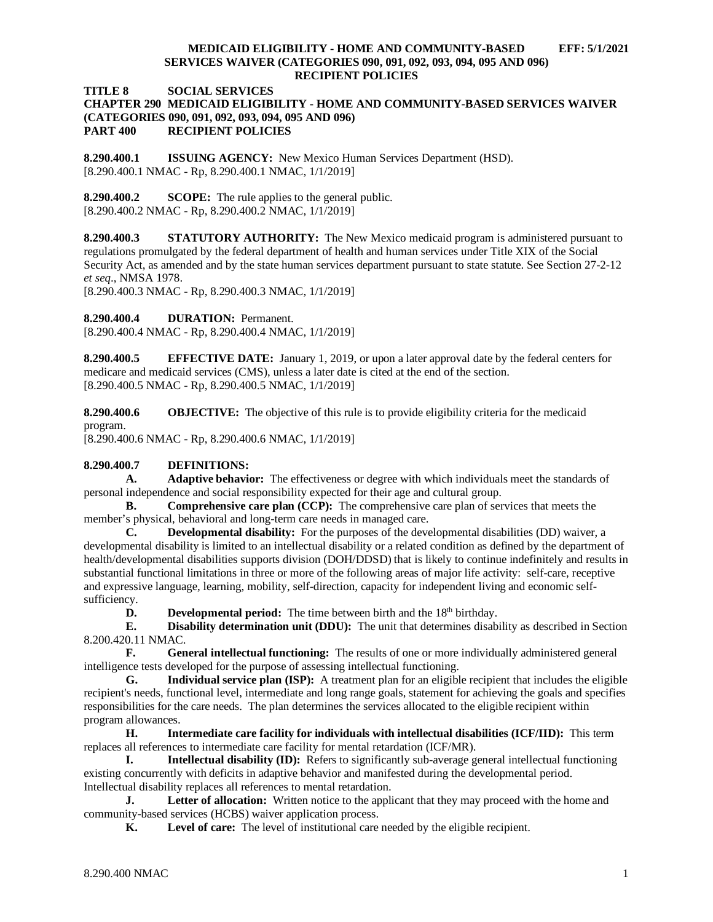#### **TITLE 8 SOCIAL SERVICES**

## **CHAPTER 290 MEDICAID ELIGIBILITY - HOME AND COMMUNITY-BASED SERVICES WAIVER (CATEGORIES 090, 091, 092, 093, 094, 095 AND 096) PART 400 RECIPIENT POLICIES**

<span id="page-1-0"></span>**8.290.400.1 ISSUING AGENCY:** New Mexico Human Services Department (HSD). [8.290.400.1 NMAC - Rp, 8.290.400.1 NMAC, 1/1/2019]

<span id="page-1-1"></span>**8.290.400.2 SCOPE:** The rule applies to the general public. [8.290.400.2 NMAC - Rp, 8.290.400.2 NMAC, 1/1/2019]

<span id="page-1-2"></span>**8.290.400.3 STATUTORY AUTHORITY:** The New Mexico medicaid program is administered pursuant to regulations promulgated by the federal department of health and human services under Title XIX of the Social Security Act, as amended and by the state human services department pursuant to state statute. See Section 27-2-12 *et seq*., NMSA 1978.

[8.290.400.3 NMAC - Rp, 8.290.400.3 NMAC, 1/1/2019]

<span id="page-1-3"></span>**8.290.400.4 DURATION:** Permanent.

[8.290.400.4 NMAC - Rp, 8.290.400.4 NMAC, 1/1/2019]

<span id="page-1-4"></span>**8.290.400.5 EFFECTIVE DATE:** January 1, 2019, or upon a later approval date by the federal centers for medicare and medicaid services (CMS), unless a later date is cited at the end of the section. [8.290.400.5 NMAC - Rp, 8.290.400.5 NMAC, 1/1/2019]

<span id="page-1-5"></span>**8.290.400.6 OBJECTIVE:** The objective of this rule is to provide eligibility criteria for the medicaid program.

[8.290.400.6 NMAC - Rp, 8.290.400.6 NMAC, 1/1/2019]

#### <span id="page-1-6"></span>**8.290.400.7 DEFINITIONS:**

**A. Adaptive behavior:** The effectiveness or degree with which individuals meet the standards of personal independence and social responsibility expected for their age and cultural group.

**B. Comprehensive care plan (CCP):** The comprehensive care plan of services that meets the member's physical, behavioral and long-term care needs in managed care.

**C. Developmental disability:** For the purposes of the developmental disabilities (DD) waiver, a developmental disability is limited to an intellectual disability or a related condition as defined by the department of health/developmental disabilities supports division (DOH/DDSD) that is likely to continue indefinitely and results in substantial functional limitations in three or more of the following areas of major life activity: self-care, receptive and expressive language, learning, mobility, self-direction, capacity for independent living and economic selfsufficiency.

**D. Developmental period:** The time between birth and the 18<sup>th</sup> birthday.

**E. Disability determination unit (DDU):** The unit that determines disability as described in Section 8.200.420.11 NMAC.<br>**F.** Gen

**F. General intellectual functioning:** The results of one or more individually administered general intelligence tests developed for the purpose of assessing intellectual functioning.

**G. Individual service plan (ISP):** A treatment plan for an eligible recipient that includes the eligible recipient's needs, functional level, intermediate and long range goals, statement for achieving the goals and specifies responsibilities for the care needs. The plan determines the services allocated to the eligible recipient within program allowances.

**H. Intermediate care facility for individuals with intellectual disabilities (ICF/IID):** This term replaces all references to intermediate care facility for mental retardation (ICF/MR).

**I. Intellectual disability (ID):** Refers to significantly sub-average general intellectual functioning existing concurrently with deficits in adaptive behavior and manifested during the developmental period. Intellectual disability replaces all references to mental retardation.

**J. Letter of allocation:** Written notice to the applicant that they may proceed with the home and community-based services (HCBS) waiver application process.

**K. Level of care:** The level of institutional care needed by the eligible recipient.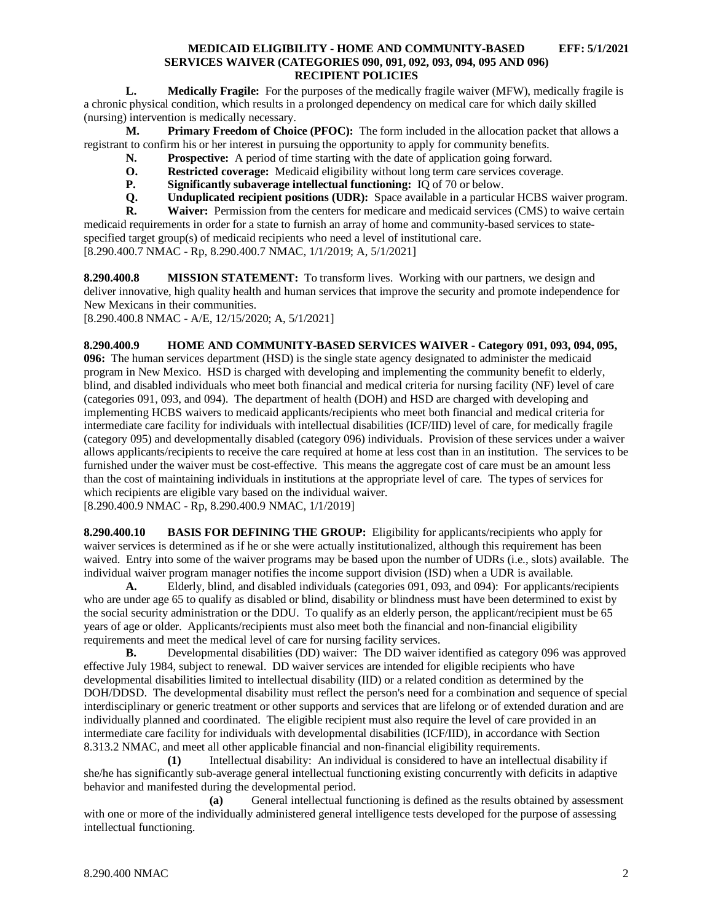**L. Medically Fragile:** For the purposes of the medically fragile waiver (MFW), medically fragile is a chronic physical condition, which results in a prolonged dependency on medical care for which daily skilled (nursing) intervention is medically necessary.

**M. Primary Freedom of Choice (PFOC):** The form included in the allocation packet that allows a registrant to confirm his or her interest in pursuing the opportunity to apply for community benefits.

- **N. Prospective:** A period of time starting with the date of application going forward.
- **O. Restricted coverage:** Medicaid eligibility without long term care services coverage.
- **P. Significantly subaverage intellectual functioning:** IQ of 70 or below.<br>**Q. Unduplicated recipient positions (UDR):** Space available in a particular
- **Q. Unduplicated recipient positions (UDR):** Space available in a particular HCBS waiver program.<br>**R. Waiver:** Permission from the centers for medicare and medicaid services (CMS) to waive certain

**R. Waiver:** Permission from the centers for medicare and medicaid services (CMS) to waive certain medicaid requirements in order for a state to furnish an array of home and community-based services to statespecified target group(s) of medicaid recipients who need a level of institutional care. [8.290.400.7 NMAC - Rp, 8.290.400.7 NMAC, 1/1/2019; A, 5/1/2021]

<span id="page-2-0"></span>**8.290.400.8 MISSION STATEMENT:** To transform lives. Working with our partners, we design and deliver innovative, high quality health and human services that improve the security and promote independence for New Mexicans in their communities.

[8.290.400.8 NMAC - A/E, 12/15/2020; A, 5/1/2021]

<span id="page-2-1"></span>**8.290.400.9 HOME AND COMMUNITY-BASED SERVICES WAIVER - Category 091, 093, 094, 095, 096:** The human services department (HSD) is the single state agency designated to administer the medicaid program in New Mexico. HSD is charged with developing and implementing the community benefit to elderly, blind, and disabled individuals who meet both financial and medical criteria for nursing facility (NF) level of care (categories 091, 093, and 094). The department of health (DOH) and HSD are charged with developing and implementing HCBS waivers to medicaid applicants/recipients who meet both financial and medical criteria for intermediate care facility for individuals with intellectual disabilities (ICF/IID) level of care, for medically fragile (category 095) and developmentally disabled (category 096) individuals. Provision of these services under a waiver allows applicants/recipients to receive the care required at home at less cost than in an institution. The services to be furnished under the waiver must be cost-effective. This means the aggregate cost of care must be an amount less than the cost of maintaining individuals in institutions at the appropriate level of care. The types of services for which recipients are eligible vary based on the individual waiver.

[8.290.400.9 NMAC - Rp, 8.290.400.9 NMAC, 1/1/2019]

<span id="page-2-2"></span>**8.290.400.10 BASIS FOR DEFINING THE GROUP:** Eligibility for applicants/recipients who apply for waiver services is determined as if he or she were actually institutionalized, although this requirement has been waived. Entry into some of the waiver programs may be based upon the number of UDRs (i.e., slots) available. The individual waiver program manager notifies the income support division (ISD) when a UDR is available.

**A.** Elderly, blind, and disabled individuals (categories 091, 093, and 094): For applicants/recipients who are under age 65 to qualify as disabled or blind, disability or blindness must have been determined to exist by the social security administration or the DDU. To qualify as an elderly person, the applicant/recipient must be 65 years of age or older. Applicants/recipients must also meet both the financial and non-financial eligibility requirements and meet the medical level of care for nursing facility services.<br> **B.** Developmental disabilities (DD) waiver: The DD waiver is

**B.** Developmental disabilities (DD) waiver: The DD waiver identified as category 096 was approved effective July 1984, subject to renewal. DD waiver services are intended for eligible recipients who have developmental disabilities limited to intellectual disability (IID) or a related condition as determined by the DOH/DDSD. The developmental disability must reflect the person's need for a combination and sequence of special interdisciplinary or generic treatment or other supports and services that are lifelong or of extended duration and are individually planned and coordinated. The eligible recipient must also require the level of care provided in an intermediate care facility for individuals with developmental disabilities (ICF/IID), in accordance with Section 8.313.2 NMAC, and meet all other applicable financial and non-financial eligibility requirements.

**(1)** Intellectual disability: An individual is considered to have an intellectual disability if she/he has significantly sub-average general intellectual functioning existing concurrently with deficits in adaptive behavior and manifested during the developmental period.

**(a)** General intellectual functioning is defined as the results obtained by assessment with one or more of the individually administered general intelligence tests developed for the purpose of assessing intellectual functioning.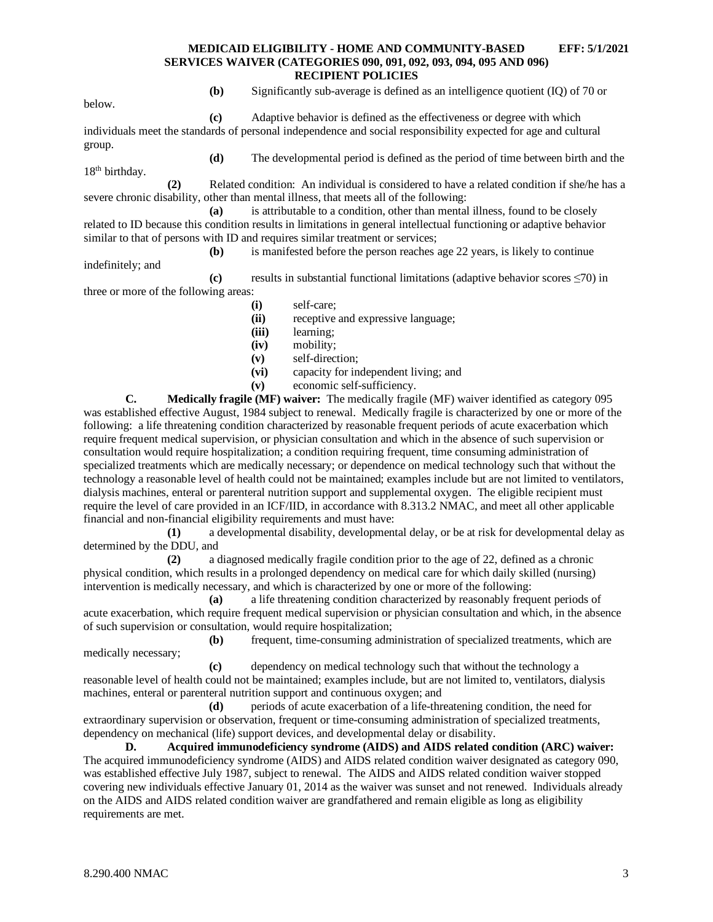below.

18<sup>th</sup> birthday.

**(b)** Significantly sub-average is defined as an intelligence quotient (IQ) of 70 or

**(c)** Adaptive behavior is defined as the effectiveness or degree with which individuals meet the standards of personal independence and social responsibility expected for age and cultural group.

**(d)** The developmental period is defined as the period of time between birth and the

**(2)** Related condition: An individual is considered to have a related condition if she/he has a severe chronic disability, other than mental illness, that meets all of the following:

**(a)** is attributable to a condition, other than mental illness, found to be closely related to ID because this condition results in limitations in general intellectual functioning or adaptive behavior similar to that of persons with ID and requires similar treatment or services;

**(b)** is manifested before the person reaches age 22 years, is likely to continue

indefinitely; and **(c)** results in substantial functional limitations (adaptive behavior scores ≤70) in three or more of the following areas:

- **(i)** self-care;
	- **(ii)** receptive and expressive language;
	- **(iii)** learning;
	- **(iv)** mobility;
	- **(v)** self-direction;
	- **(vi)** capacity for independent living; and
	- **(v)** economic self-sufficiency.

**C. Medically fragile (MF) waiver:** The medically fragile (MF) waiver identified as category 095 was established effective August, 1984 subject to renewal. Medically fragile is characterized by one or more of the following: a life threatening condition characterized by reasonable frequent periods of acute exacerbation which require frequent medical supervision, or physician consultation and which in the absence of such supervision or consultation would require hospitalization; a condition requiring frequent, time consuming administration of specialized treatments which are medically necessary; or dependence on medical technology such that without the technology a reasonable level of health could not be maintained; examples include but are not limited to ventilators, dialysis machines, enteral or parenteral nutrition support and supplemental oxygen. The eligible recipient must require the level of care provided in an ICF/IID, in accordance with 8.313.2 NMAC, and meet all other applicable financial and non-financial eligibility requirements and must have:

**(1)** a developmental disability, developmental delay, or be at risk for developmental delay as determined by the DDU, and

**(2)** a diagnosed medically fragile condition prior to the age of 22, defined as a chronic physical condition, which results in a prolonged dependency on medical care for which daily skilled (nursing) intervention is medically necessary, and which is characterized by one or more of the following:

**(a)** a life threatening condition characterized by reasonably frequent periods of acute exacerbation, which require frequent medical supervision or physician consultation and which, in the absence of such supervision or consultation, would require hospitalization;

**(b)** frequent, time-consuming administration of specialized treatments, which are medically necessary;

**(c)** dependency on medical technology such that without the technology a reasonable level of health could not be maintained; examples include, but are not limited to, ventilators, dialysis machines, enteral or parenteral nutrition support and continuous oxygen; and

**(d)** periods of acute exacerbation of a life-threatening condition, the need for extraordinary supervision or observation, frequent or time-consuming administration of specialized treatments, dependency on mechanical (life) support devices, and developmental delay or disability.

**D. Acquired immunodeficiency syndrome (AIDS) and AIDS related condition (ARC) waiver:** The acquired immunodeficiency syndrome (AIDS) and AIDS related condition waiver designated as category 090, was established effective July 1987, subject to renewal. The AIDS and AIDS related condition waiver stopped covering new individuals effective January 01, 2014 as the waiver was sunset and not renewed. Individuals already on the AIDS and AIDS related condition waiver are grandfathered and remain eligible as long as eligibility requirements are met.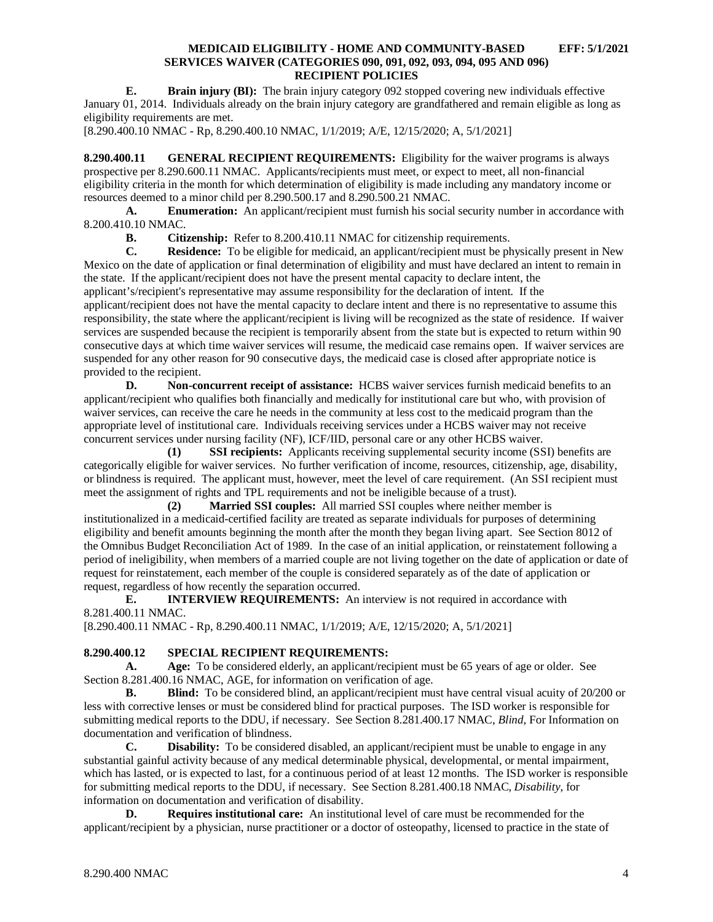**E. Brain injury (BI):** The brain injury category 092 stopped covering new individuals effective January 01, 2014. Individuals already on the brain injury category are grandfathered and remain eligible as long as eligibility requirements are met.

[8.290.400.10 NMAC - Rp, 8.290.400.10 NMAC, 1/1/2019; A/E, 12/15/2020; A, 5/1/2021]

<span id="page-4-0"></span>**8.290.400.11 GENERAL RECIPIENT REQUIREMENTS:** Eligibility for the waiver programs is always prospective per 8.290.600.11 NMAC. Applicants/recipients must meet, or expect to meet, all non-financial eligibility criteria in the month for which determination of eligibility is made including any mandatory income or resources deemed to a minor child per 8.290.500.17 and 8.290.500.21 NMAC.

**A. Enumeration:** An applicant/recipient must furnish his social security number in accordance with 8.200.410.10 NMAC.

**B. Citizenship:** Refer to 8.200.410.11 NMAC for citizenship requirements.<br>**C. Residence:** To be eligible for medicaid, an applicant/recipient must be ph

**Residence:** To be eligible for medicaid, an applicant/recipient must be physically present in New Mexico on the date of application or final determination of eligibility and must have declared an intent to remain in the state. If the applicant/recipient does not have the present mental capacity to declare intent, the applicant's/recipient's representative may assume responsibility for the declaration of intent. If the applicant/recipient does not have the mental capacity to declare intent and there is no representative to assume this responsibility, the state where the applicant/recipient is living will be recognized as the state of residence. If waiver services are suspended because the recipient is temporarily absent from the state but is expected to return within 90 consecutive days at which time waiver services will resume, the medicaid case remains open. If waiver services are suspended for any other reason for 90 consecutive days, the medicaid case is closed after appropriate notice is provided to the recipient.

**D. Non-concurrent receipt of assistance:** HCBS waiver services furnish medicaid benefits to an applicant/recipient who qualifies both financially and medically for institutional care but who, with provision of waiver services, can receive the care he needs in the community at less cost to the medicaid program than the appropriate level of institutional care. Individuals receiving services under a HCBS waiver may not receive concurrent services under nursing facility (NF), ICF/IID, personal care or any other HCBS waiver.

**(1) SSI recipients:** Applicants receiving supplemental security income (SSI) benefits are categorically eligible for waiver services. No further verification of income, resources, citizenship, age, disability, or blindness is required. The applicant must, however, meet the level of care requirement. (An SSI recipient must meet the assignment of rights and TPL requirements and not be ineligible because of a trust).

**(2) Married SSI couples:** All married SSI couples where neither member is institutionalized in a medicaid-certified facility are treated as separate individuals for purposes of determining eligibility and benefit amounts beginning the month after the month they began living apart. See Section 8012 of the Omnibus Budget Reconciliation Act of 1989. In the case of an initial application, or reinstatement following a period of ineligibility, when members of a married couple are not living together on the date of application or date of request for reinstatement, each member of the couple is considered separately as of the date of application or request, regardless of how recently the separation occurred.

**E. INTERVIEW REQUIREMENTS:** An interview is not required in accordance with 8.281.400.11 NMAC.

[8.290.400.11 NMAC - Rp, 8.290.400.11 NMAC, 1/1/2019; A/E, 12/15/2020; A, 5/1/2021]

# <span id="page-4-1"></span>**8.290.400.12 SPECIAL RECIPIENT REQUIREMENTS:**

**A. Age:** To be considered elderly, an applicant/recipient must be 65 years of age or older. See Section 8.281.400.16 NMAC, AGE, for information on verification of age.

**B. Blind:** To be considered blind, an applicant/recipient must have central visual acuity of 20/200 or less with corrective lenses or must be considered blind for practical purposes. The ISD worker is responsible for submitting medical reports to the DDU, if necessary. See Section 8.281.400.17 NMAC, *Blind*, For Information on documentation and verification of blindness.

**C. Disability:** To be considered disabled, an applicant/recipient must be unable to engage in any substantial gainful activity because of any medical determinable physical, developmental, or mental impairment, which has lasted, or is expected to last, for a continuous period of at least 12 months. The ISD worker is responsible for submitting medical reports to the DDU, if necessary. See Section 8.281.400.18 NMAC, *Disability*, for information on documentation and verification of disability.

**D. Requires institutional care:** An institutional level of care must be recommended for the applicant/recipient by a physician, nurse practitioner or a doctor of osteopathy, licensed to practice in the state of